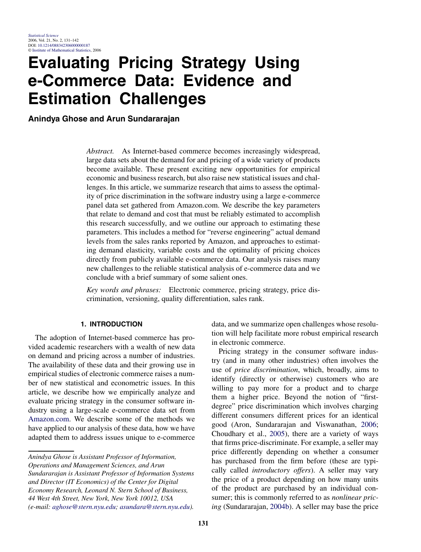# **Evaluating Pricing Strategy Using e-Commerce Data: Evidence and Estimation Challenges**

**Anindya Ghose and Arun Sundararajan**

*Abstract.* As Internet-based commerce becomes increasingly widespread, large data sets about the demand for and pricing of a wide variety of products become available. These present exciting new opportunities for empirical economic and business research, but also raise new statistical issues and challenges. In this article, we summarize research that aims to assess the optimality of price discrimination in the software industry using a large e-commerce panel data set gathered from Amazon.com. We describe the key parameters that relate to demand and cost that must be reliably estimated to accomplish this research successfully, and we outline our approach to estimating these parameters. This includes a method for "reverse engineering" actual demand levels from the sales ranks reported by Amazon, and approaches to estimating demand elasticity, variable costs and the optimality of pricing choices directly from publicly available e-commerce data. Our analysis raises many new challenges to the reliable statistical analysis of e-commerce data and we conclude with a brief summary of some salient ones.

*Key words and phrases:* Electronic commerce, pricing strategy, price discrimination, versioning, quality differentiation, sales rank.

# **1. INTRODUCTION**

The adoption of Internet-based commerce has provided academic researchers with a wealth of new data on demand and pricing across a number of industries. The availability of these data and their growing use in empirical studies of electronic commerce raises a number of new statistical and econometric issues. In this article, we describe how we empirically analyze and evaluate pricing strategy in the consumer software industry using a large-scale e-commerce data set from [Amazon.com](www.Amazon.com). We describe some of the methods we have applied to our analysis of these data, how we have adapted them to address issues unique to e-commerce

*Anindya Ghose is Assistant Professor of Information, Operations and Management Sciences, and Arun Sundararajan is Assistant Professor of Information Systems and Director (IT Economics) of the Center for Digital Economy Research, Leonard N. Stern School of Business, 44 West 4th Street, New York, New York 10012, USA (e-mail: [aghose@stern.nyu.edu;](mailto:aghose@stern.nyu.edu) [asundara@stern.nyu.edu](mailto:asundara@stern.nyu.edu)).*

data, and we summarize open challenges whose resolution will help facilitate more robust empirical research in electronic commerce.

Pricing strategy in the consumer software industry (and in many other industries) often involves the use of *price discrimination*, which, broadly, aims to identify (directly or otherwise) customers who are willing to pay more for a product and to charge them a higher price. Beyond the notion of "firstdegree" price discrimination which involves charging different consumers different prices for an identical good (Aron, Sundararajan and Viswanathan, [2006;](#page-10-0) Choudhary et al., [2005\)](#page-10-0), there are a variety of ways that firms price-discriminate. For example, a seller may price differently depending on whether a consumer has purchased from the firm before (these are typically called *introductory offers*). A seller may vary the price of a product depending on how many units of the product are purchased by an individual consumer; this is commonly referred to as *nonlinear pricing* (Sundararajan, [2004b\)](#page-11-0). A seller may base the price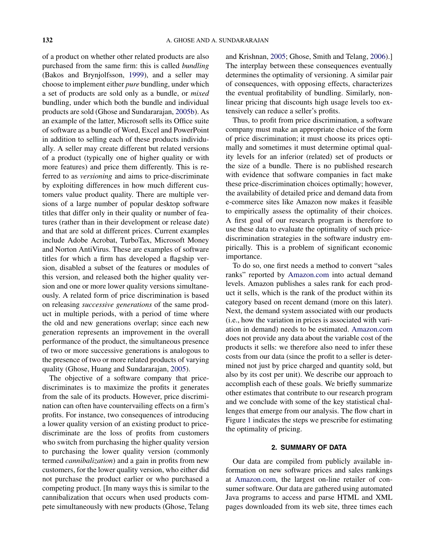of a product on whether other related products are also purchased from the same firm: this is called *bundling* (Bakos and Brynjolfsson, [1999\)](#page-10-0), and a seller may choose to implement either *pure* bundling, under which a set of products are sold only as a bundle, or *mixed* bundling, under which both the bundle and individual products are sold (Ghose and Sundararajan, [2005b\)](#page-11-0). As an example of the latter, Microsoft sells its Office suite of software as a bundle of Word, Excel and PowerPoint in addition to selling each of these products individually. A seller may create different but related versions of a product (typically one of higher quality or with more features) and price them differently. This is referred to as *versioning* and aims to price-discriminate by exploiting differences in how much different customers value product quality. There are multiple versions of a large number of popular desktop software titles that differ only in their quality or number of features (rather than in their development or release date) and that are sold at different prices. Current examples include Adobe Acrobat, TurboTax, Microsoft Money and Norton AntiVirus. These are examples of software titles for which a firm has developed a flagship version, disabled a subset of the features or modules of this version, and released both the higher quality version and one or more lower quality versions simultaneously. A related form of price discrimination is based on releasing *successive generations* of the same product in multiple periods, with a period of time where the old and new generations overlap; since each new generation represents an improvement in the overall performance of the product, the simultaneous presence of two or more successive generations is analogous to the presence of two or more related products of varying quality (Ghose, Huang and Sundararajan, [2005\)](#page-10-0).

The objective of a software company that pricediscriminates is to maximize the profits it generates from the sale of its products. However, price discrimination can often have countervailing effects on a firm's profits. For instance, two consequences of introducing a lower quality version of an existing product to pricediscriminate are the loss of profits from customers who switch from purchasing the higher quality version to purchasing the lower quality version (commonly termed *cannibalization*) and a gain in profits from new customers, for the lower quality version, who either did not purchase the product earlier or who purchased a competing product. [In many ways this is similar to the cannibalization that occurs when used products compete simultaneously with new products (Ghose, Telang

and Krishnan, [2005;](#page-11-0) Ghose, Smith and Telang, [2006\)](#page-10-0).] The interplay between these consequences eventually determines the optimality of versioning. A similar pair of consequences, with opposing effects, characterizes the eventual profitability of bundling. Similarly, nonlinear pricing that discounts high usage levels too extensively can reduce a seller's profits.

Thus, to profit from price discrimination, a software company must make an appropriate choice of the form of price discrimination; it must choose its prices optimally and sometimes it must determine optimal quality levels for an inferior (related) set of products or the size of a bundle. There is no published research with evidence that software companies in fact make these price-discrimination choices optimally; however, the availability of detailed price and demand data from e-commerce sites like Amazon now makes it feasible to empirically assess the optimality of their choices. A first goal of our research program is therefore to use these data to evaluate the optimality of such pricediscrimination strategies in the software industry empirically. This is a problem of significant economic importance.

To do so, one first needs a method to convert "sales ranks" reported by [Amazon.com](www.Amazon.com) into actual demand levels. Amazon publishes a sales rank for each product it sells, which is the rank of the product within its category based on recent demand (more on this later). Next, the demand system associated with our products (i.e., how the variation in prices is associated with variation in demand) needs to be estimated. [Amazon.com](www.Amazon.com) does not provide any data about the variable cost of the products it sells: we therefore also need to infer these costs from our data (since the profit to a seller is determined not just by price charged and quantity sold, but also by its cost per unit). We describe our approach to accomplish each of these goals. We briefly summarize other estimates that contribute to our research program and we conclude with some of the key statistical challenges that emerge from our analysis. The flow chart in Figure [1](#page-2-0) indicates the steps we prescribe for estimating the optimality of pricing.

# **2. SUMMARY OF DATA**

Our data are compiled from publicly available information on new software prices and sales rankings at [Amazon.com](www.Amazon.com), the largest on-line retailer of consumer software. Our data are gathered using automated Java programs to access and parse HTML and XML pages downloaded from its web site, three times each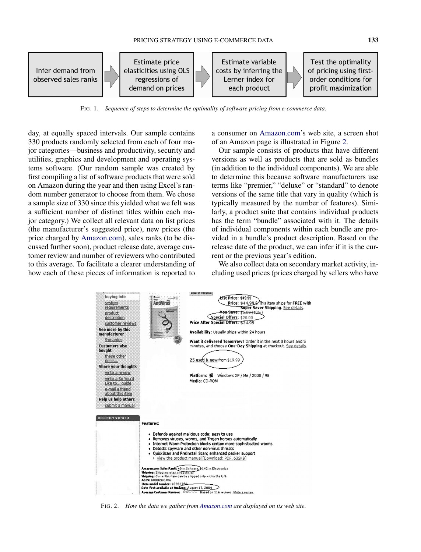<span id="page-2-0"></span>

FIG. 1. *Sequence of steps to determine the optimality of software pricing from e-commerce data*.

day, at equally spaced intervals. Our sample contains 330 products randomly selected from each of four major categories—business and productivity, security and utilities, graphics and development and operating systems software. (Our random sample was created by first compiling a list of software products that were sold on Amazon during the year and then using Excel's random number generator to choose from them. We chose a sample size of 330 since this yielded what we felt was a sufficient number of distinct titles within each major category.) We collect all relevant data on list prices (the manufacturer's suggested price), new prices (the price charged by [Amazon.com\)](www.Amazon.com), sales ranks (to be discussed further soon), product release date, average customer review and number of reviewers who contributed to this average. To facilitate a clearer understanding of how each of these pieces of information is reported to a consumer on [Amazon.com'](www.Amazon.com)s web site, a screen shot of an Amazon page is illustrated in Figure 2.

Our sample consists of products that have different versions as well as products that are sold as bundles (in addition to the individual components). We are able to determine this because software manufacturers use terms like "premier," "deluxe" or "standard" to denote versions of the same title that vary in quality (which is typically measured by the number of features). Similarly, a product suite that contains individual products has the term "bundle" associated with it. The details of individual components within each bundle are provided in a bundle's product description. Based on the release date of the product, we can infer if it is the current or the previous year's edition.

We also collect data on secondary market activity, including used prices (prices charged by sellers who have



FIG. 2. *How the data we gather from [Amazon](www.Amazon.com)*.*com are displayed on its web site*.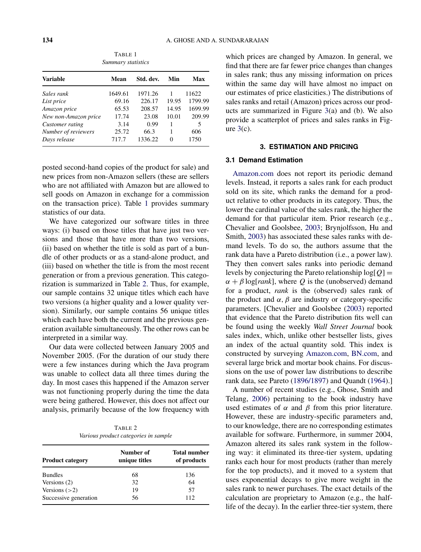<span id="page-3-0"></span>

| <b>Variable</b>      | Mean    | Std. dev. | Min   | Max     |
|----------------------|---------|-----------|-------|---------|
| Sales rank           | 1649.61 | 1971.26   |       | 11622   |
| List price           | 69.16   | 226.17    | 19.95 | 1799.99 |
| Amazon price         | 65.53   | 208.57    | 14.95 | 1699.99 |
| New non-Amazon price | 17.74   | 23.08     | 10.01 | 209.99  |
| Customer rating      | 3.14    | 0.99      | 1     | 5       |
| Number of reviewers  | 25.72   | 66.3      |       | 606     |
| Days release         | 717.7   | 1336.22   | 0     | 1750    |

TABLE 1 *Summary statistics*

posted second-hand copies of the product for sale) and new prices from non-Amazon sellers (these are sellers who are not affiliated with Amazon but are allowed to sell goods on Amazon in exchange for a commission on the transaction price). Table 1 provides summary statistics of our data.

We have categorized our software titles in three ways: (i) based on those titles that have just two versions and those that have more than two versions, (ii) based on whether the title is sold as part of a bundle of other products or as a stand-alone product, and (iii) based on whether the title is from the most recent generation or from a previous generation. This categorization is summarized in Table 2. Thus, for example, our sample contains 32 unique titles which each have two versions (a higher quality and a lower quality version). Similarly, our sample contains 56 unique titles which each have both the current and the previous generation available simultaneously. The other rows can be interpreted in a similar way.

Our data were collected between January 2005 and November 2005. (For the duration of our study there were a few instances during which the Java program was unable to collect data all three times during the day. In most cases this happened if the Amazon server was not functioning properly during the time the data were being gathered. However, this does not affect our analysis, primarily because of the low frequency with

TABLE 2 *Various product categories in sample*

| <b>Product category</b> | Number of<br>unique titles | <b>Total number</b><br>of products |  |
|-------------------------|----------------------------|------------------------------------|--|
| <b>Bundles</b>          | 68                         | 136                                |  |
| Versions (2)            | 32                         | 64                                 |  |
| Versions $(>2)$         | 19                         | 57                                 |  |
| Successive generation   | 56                         | 112                                |  |

which prices are changed by Amazon. In general, we find that there are far fewer price changes than changes in sales rank; thus any missing information on prices within the same day will have almost no impact on our estimates of price elasticities.) The distributions of sales ranks and retail (Amazon) prices across our products are summarized in Figure [3\(](#page-4-0)a) and (b). We also provide a scatterplot of prices and sales ranks in Figure  $3(c)$  $3(c)$ .

# **3. ESTIMATION AND PRICING**

# **3.1 Demand Estimation**

[Amazon.com](www.Amazon.com) does not report its periodic demand levels. Instead, it reports a sales rank for each product sold on its site, which ranks the demand for a product relative to other products in its category. Thus, the lower the cardinal value of the sales rank, the higher the demand for that particular item. Prior research (e.g., Chevalier and Goolsbee, [2003;](#page-10-0) Brynjolfsson, Hu and Smith, [2003\)](#page-10-0) has associated these sales ranks with demand levels. To do so, the authors assume that the rank data have a Pareto distribution (i.e., a power law). They then convert sales ranks into periodic demand levels by conjecturing the Pareto relationship  $log[Q] =$  $\alpha + \beta \log[\text{rank}]$ , where *Q* is the (unobserved) demand for a product, *rank* is the (observed) sales rank of the product and  $\alpha$ ,  $\beta$  are industry or category-specific parameters. [Chevalier and Goolsbee [\(2003\)](#page-10-0) reported that evidence that the Pareto distribution fits well can be found using the weekly *Wall Street Journal* book sales index, which, unlike other bestseller lists, gives an index of the actual quantity sold. This index is constructed by surveying [Amazon.com](www.Amazon.com), [BN.com,](www.BN.com) and several large brick and mortar book chains. For discussions on the use of power law distributions to describe rank data, see Pareto [\(1896/1897\)](#page-11-0) and Quandt [\(1964\)](#page-11-0).]

A number of recent studies (e.g., Ghose, Smith and Telang, [2006\)](#page-10-0) pertaining to the book industry have used estimates of  $\alpha$  and  $\beta$  from this prior literature. However, these are industry-specific parameters and, to our knowledge, there are no corresponding estimates available for software. Furthermore, in summer 2004, Amazon altered its sales rank system in the following way: it eliminated its three-tier system, updating ranks each hour for most products (rather than merely for the top products), and it moved to a system that uses exponential decays to give more weight in the sales rank to newer purchases. The exact details of the calculation are proprietary to Amazon (e.g., the halflife of the decay). In the earlier three-tier system, there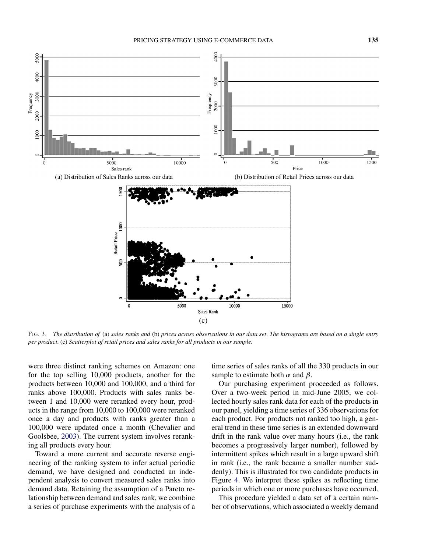<span id="page-4-0"></span>

FIG. 3. *The distribution of* (a) *sales ranks and* (b) *prices across observations in our data set*. *The histograms are based on a single entry per product*. (c) *Scatterplot of retail prices and sales ranks for all products in our sample*.

were three distinct ranking schemes on Amazon: one for the top selling 10,000 products, another for the products between 10,000 and 100,000, and a third for ranks above 100,000. Products with sales ranks between 1 and 10,000 were reranked every hour, products in the range from 10,000 to 100,000 were reranked once a day and products with ranks greater than a 100,000 were updated once a month (Chevalier and Goolsbee, [2003\)](#page-10-0). The current system involves reranking all products every hour.

Toward a more current and accurate reverse engineering of the ranking system to infer actual periodic demand, we have designed and conducted an independent analysis to convert measured sales ranks into demand data. Retaining the assumption of a Pareto relationship between demand and sales rank, we combine a series of purchase experiments with the analysis of a time series of sales ranks of all the 330 products in our sample to estimate both  $\alpha$  and  $\beta$ .

Our purchasing experiment proceeded as follows. Over a two-week period in mid-June 2005, we collected hourly sales rank data for each of the products in our panel, yielding a time series of 336 observations for each product. For products not ranked too high, a general trend in these time series is an extended downward drift in the rank value over many hours (i.e., the rank becomes a progressively larger number), followed by intermittent spikes which result in a large upward shift in rank (i.e., the rank became a smaller number suddenly). This is illustrated for two candidate products in Figure [4.](#page-5-0) We interpret these spikes as reflecting time periods in which one or more purchases have occurred.

This procedure yielded a data set of a certain number of observations, which associated a weekly demand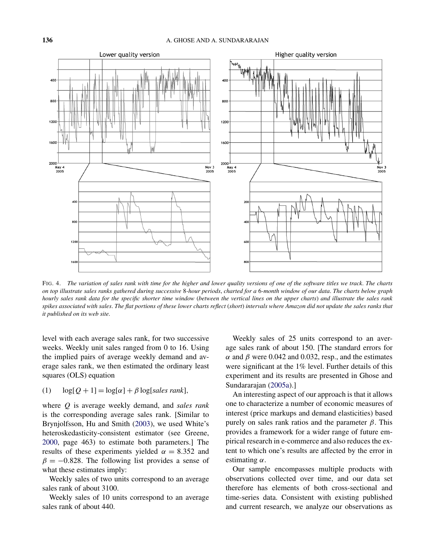<span id="page-5-0"></span>

FIG. 4. *The variation of sales rank with time for the higher and lower quality versions of one of the software titles we track*. *The charts on top illustrate sales ranks gathered during successive* 8*-hour periods*, *charted for a* 6*-month window of our data*. *The charts below graph hourly sales rank data for the specific shorter time window* (*between the vertical lines on the upper charts*) *and illustrate the sales rank spikes associated with sales*. *The flat portions of these lower charts reflect* (*short*) *intervals where Amazon did not update the sales ranks that it published on its web site*.

level with each average sales rank, for two successive weeks. Weekly unit sales ranged from 0 to 16. Using the implied pairs of average weekly demand and average sales rank, we then estimated the ordinary least squares (OLS) equation

$$
(1) \quad \log[Q+1] = \log[\alpha] + \beta \log[sales rank],
$$

where *Q* is average weekly demand, and *sales rank* is the corresponding average sales rank. [Similar to Brynjolfsson, Hu and Smith [\(2003\)](#page-10-0), we used White's heteroskedasticity-consistent estimator (see Greene, [2000,](#page-11-0) page 463) to estimate both parameters.] The results of these experiments yielded  $\alpha = 8.352$  and  $\beta = -0.828$ . The following list provides a sense of what these estimates imply:

Weekly sales of two units correspond to an average sales rank of about 3100.

Weekly sales of 10 units correspond to an average sales rank of about 440.

Weekly sales of 25 units correspond to an average sales rank of about 150. [The standard errors for  $α$  and  $β$  were 0.042 and 0.032, resp., and the estimates were significant at the 1% level. Further details of this experiment and its results are presented in Ghose and Sundararajan [\(2005a\)](#page-11-0).]

An interesting aspect of our approach is that it allows one to characterize a number of economic measures of interest (price markups and demand elasticities) based purely on sales rank ratios and the parameter *β*. This provides a framework for a wider range of future empirical research in e-commerce and also reduces the extent to which one's results are affected by the error in estimating *α*.

Our sample encompasses multiple products with observations collected over time, and our data set therefore has elements of both cross-sectional and time-series data. Consistent with existing published and current research, we analyze our observations as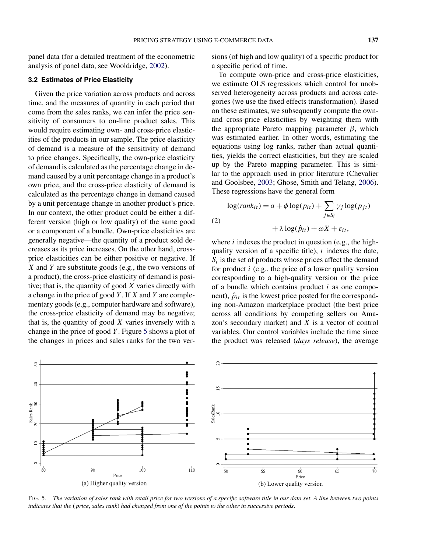<span id="page-6-0"></span>panel data (for a detailed treatment of the econometric analysis of panel data, see Wooldridge, [2002\)](#page-11-0).

# **3.2 Estimates of Price Elasticity**

Given the price variation across products and across time, and the measures of quantity in each period that come from the sales ranks, we can infer the price sensitivity of consumers to on-line product sales. This would require estimating own- and cross-price elasticities of the products in our sample. The price elasticity of demand is a measure of the sensitivity of demand to price changes. Specifically, the own-price elasticity of demand is calculated as the percentage change in demand caused by a unit percentage change in a product's own price, and the cross-price elasticity of demand is calculated as the percentage change in demand caused by a unit percentage change in another product's price. In our context, the other product could be either a different version (high or low quality) of the same good or a component of a bundle. Own-price elasticities are generally negative—the quantity of a product sold decreases as its price increases. On the other hand, crossprice elasticities can be either positive or negative. If *X* and *Y* are substitute goods (e.g., the two versions of a product), the cross-price elasticity of demand is positive; that is, the quantity of good *X* varies directly with a change in the price of good *Y* . If *X* and *Y* are complementary goods (e.g., computer hardware and software), the cross-price elasticity of demand may be negative; that is, the quantity of good *X* varies inversely with a change in the price of good *Y* . Figure 5 shows a plot of the changes in prices and sales ranks for the two versions (of high and low quality) of a specific product for a specific period of time.

To compute own-price and cross-price elasticities, we estimate OLS regressions which control for unobserved heterogeneity across products and across categories (we use the fixed effects transformation). Based on these estimates, we subsequently compute the ownand cross-price elasticities by weighting them with the appropriate Pareto mapping parameter *β*, which was estimated earlier. In other words, estimating the equations using log ranks, rather than actual quantities, yields the correct elasticities, but they are scaled up by the Pareto mapping parameter. This is similar to the approach used in prior literature (Chevalier and Goolsbee, [2003;](#page-10-0) Ghose, Smith and Telang, [2006\)](#page-10-0). These regressions have the general form

$$
\log(rank_{it}) = a + \phi \log(p_{it}) + \sum_{j \in S_i} \gamma_j \log(p_{jt})
$$
  
(2)  

$$
+ \lambda \log(\hat{p}_{it}) + \omega X + \varepsilon_{it},
$$

where *i* indexes the product in question (e.g., the highquality version of a specific title), *t* indexes the date,  $S_i$  is the set of products whose prices affect the demand for product *i* (e.g., the price of a lower quality version corresponding to a high-quality version or the price of a bundle which contains product *i* as one component),  $\hat{p}_{it}$  is the lowest price posted for the corresponding non-Amazon marketplace product (the best price across all conditions by competing sellers on Amazon's secondary market) and *X* is a vector of control variables. Our control variables include the time since the product was released (*days release*), the average



FIG. 5. *The variation of sales rank with retail price for two versions of a specific software title in our data set*. *A line between two points indicates that the* ( *price*, *sales rank*) *had changed from one of the points to the other in successive periods*.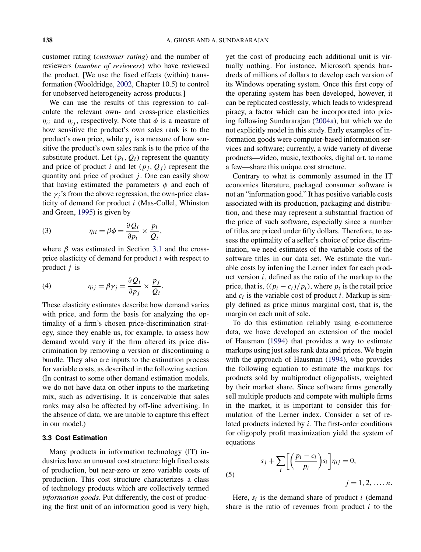<span id="page-7-0"></span>customer rating (*customer rating*) and the number of reviewers (*number of reviewers*) who have reviewed the product. [We use the fixed effects (within) transformation (Wooldridge, [2002,](#page-11-0) Chapter 10.5) to control for unobserved heterogeneity across products.]

We can use the results of this regression to calculate the relevant own- and cross-price elasticities  $\eta_{ii}$  and  $\eta_{ij}$ , respectively. Note that  $\phi$  is a measure of how sensitive the product's own sales rank is to the product's own price, while  $\gamma_i$  is a measure of how sensitive the product's own sales rank is to the price of the substitute product. Let  $(p_i, Q_i)$  represent the quantity and price of product *i* and let  $(p_i, Q_i)$  represent the quantity and price of product  $j$ . One can easily show that having estimated the parameters  $\phi$  and each of the  $\gamma_j$ 's from the above regression, the own-price elasticity of demand for product *i* (Mas-Collel, Whinston and Green, [1995\)](#page-11-0) is given by

(3) 
$$
\eta_{ii} = \beta \phi = \frac{\partial Q_i}{\partial p_i} \times \frac{p_i}{Q_i},
$$

where  $\beta$  was estimated in Section [3.1](#page-3-0) and the crossprice elasticity of demand for product *i* with respect to product *j* is

(4) 
$$
\eta_{ij} = \beta \gamma_j = \frac{\partial Q_i}{\partial p_j} \times \frac{p_j}{Q_i}.
$$

These elasticity estimates describe how demand varies with price, and form the basis for analyzing the optimality of a firm's chosen price-discrimination strategy, since they enable us, for example, to assess how demand would vary if the firm altered its price discrimination by removing a version or discontinuing a bundle. They also are inputs to the estimation process for variable costs, as described in the following section. (In contrast to some other demand estimation models, we do not have data on other inputs to the marketing mix, such as advertising. It is conceivable that sales ranks may also be affected by off-line advertising. In the absence of data, we are unable to capture this effect in our model.)

#### **3.3 Cost Estimation**

Many products in information technology (IT) industries have an unusual cost structure: high fixed costs of production, but near-zero or zero variable costs of production. This cost structure characterizes a class of technology products which are collectively termed *information goods*. Put differently, the cost of producing the first unit of an information good is very high,

yet the cost of producing each additional unit is virtually nothing. For instance, Microsoft spends hundreds of millions of dollars to develop each version of its Windows operating system. Once this first copy of the operating system has been developed, however, it can be replicated costlessly, which leads to widespread piracy, a factor which can be incorporated into pricing following Sundararajan [\(2004a\)](#page-11-0), but which we do not explicitly model in this study. Early examples of information goods were computer-based information services and software; currently, a wide variety of diverse products—video, music, textbooks, digital art, to name a few—share this unique cost structure.

Contrary to what is commonly assumed in the IT economics literature, packaged consumer software is not an "information good." It has positive variable costs associated with its production, packaging and distribution, and these may represent a substantial fraction of the price of such software, especially since a number of titles are priced under fifty dollars. Therefore, to assess the optimality of a seller's choice of price discrimination, we need estimates of the variable costs of the software titles in our data set. We estimate the variable costs by inferring the Lerner index for each product version *i*, defined as the ratio of the markup to the price, that is,  $((p_i - c_i)/p_i)$ , where  $p_i$  is the retail price and  $c_i$  is the variable cost of product *i*. Markup is simply defined as price minus marginal cost, that is, the margin on each unit of sale.

To do this estimation reliably using e-commerce data, we have developed an extension of the model of Hausman [\(1994\)](#page-11-0) that provides a way to estimate markups using just sales rank data and prices. We begin with the approach of Hausman [\(1994\)](#page-11-0), who provides the following equation to estimate the markups for products sold by multiproduct oligopolists, weighted by their market share. Since software firms generally sell multiple products and compete with multiple firms in the market, it is important to consider this formulation of the Lerner index. Consider a set of related products indexed by *i*. The first-order conditions for oligopoly profit maximization yield the system of equations

(5) 
$$
s_j + \sum_i \left[ \left( \frac{p_i - c_i}{p_i} \right) s_i \right] \eta_{ij} = 0,
$$

$$
j = 1, 2, \dots, n.
$$

Here,  $s_i$  is the demand share of product  $i$  (demand share is the ratio of revenues from product *i* to the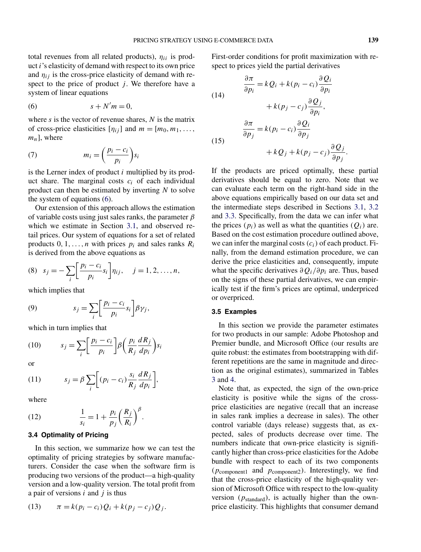<span id="page-8-0"></span>total revenues from all related products), *ηii* is product *i*'s elasticity of demand with respect to its own price and  $\eta_{ij}$  is the cross-price elasticity of demand with respect to the price of product  $j$ . We therefore have a system of linear equations

$$
(6) \t\t s + N'm = 0,
$$

where *s* is the vector of revenue shares, *N* is the matrix of cross-price elasticities  $[\eta_{ij}]$  and  $m = [m_0, m_1, \ldots,$ *mn*], where

(7) 
$$
m_i = \left(\frac{p_i - c_i}{p_i}\right) s_i
$$

is the Lerner index of product *i* multiplied by its product share. The marginal costs  $c_i$  of each individual product can then be estimated by inverting *N* to solve the system of equations (6).

Our extension of this approach allows the estimation of variable costs using just sales ranks, the parameter *β* which we estimate in Section [3.1,](#page-3-0) and observed retail prices. Our system of equations for a set of related products  $0, 1, \ldots, n$  with prices  $p_i$  and sales ranks  $R_i$ is derived from the above equations as

(8) 
$$
s_j = -\sum_i \left[ \frac{p_i - c_i}{p_i} s_i \right] \eta_{ij}, \quad j = 1, 2, ..., n,
$$

which implies that

(9) 
$$
s_j = \sum_i \left[ \frac{p_i - c_i}{p_i} s_i \right] \beta \gamma_j,
$$

which in turn implies that

$$
(10) \t s_j = \sum_i \left[ \frac{p_i - c_i}{p_i} \right] \beta \left( \frac{p_i}{R_j} \frac{dR_j}{dp_i} \right) s_i
$$

or

(11) 
$$
s_j = \beta \sum_i \left[ (p_i - c_i) \frac{s_i}{R_j} \frac{dR_j}{dp_i} \right],
$$

where

(12) 
$$
\frac{1}{s_i} = 1 + \frac{p_i}{p_j} \left(\frac{R_j}{R_i}\right)^{\beta}.
$$

### **3.4 Optimality of Pricing**

In this section, we summarize how we can test the optimality of pricing strategies by software manufacturers. Consider the case when the software firm is producing two versions of the product—a high-quality version and a low-quality version. The total profit from a pair of versions *i* and *j* is thus

(13) 
$$
\pi = k(p_i - c_i)Q_i + k(p_j - c_j)Q_j.
$$

First-order conditions for profit maximization with respect to prices yield the partial derivatives

(14)  
\n
$$
\frac{\partial \pi}{\partial p_i} = kQ_i + k(p_i - c_i) \frac{\partial Q_i}{\partial p_i} + k(p_j - c_j) \frac{\partial Q_j}{\partial p_i},
$$
\n
$$
\frac{\partial \pi}{\partial p_j} = k(p_i - c_i) \frac{\partial Q_i}{\partial p_j} + kQ_j + k(p_j - c_j) \frac{\partial Q_j}{\partial p_j}.
$$

If the products are priced optimally, these partial derivatives should be equal to zero. Note that we can evaluate each term on the right-hand side in the above equations empirically based on our data set and the intermediate steps described in Sections [3.1,](#page-3-0) [3.2](#page-6-0) and [3.3.](#page-7-0) Specifically, from the data we can infer what the prices  $(p_i)$  as well as what the quantities  $(Q_i)$  are. Based on the cost estimation procedure outlined above, we can infer the marginal costs  $(c_i)$  of each product. Finally, from the demand estimation procedure, we can derive the price elasticities and, consequently, impute what the specific derivatives *∂Qi/∂pi* are. Thus, based on the signs of these partial derivatives, we can empirically test if the firm's prices are optimal, underpriced or overpriced.

# **3.5 Examples**

In this section we provide the parameter estimates for two products in our sample: Adobe Photoshop and Premier bundle, and Microsoft Office (our results are quite robust: the estimates from bootstrapping with different repetitions are the same in magnitude and direction as the original estimates), summarized in Tables [3](#page-9-0) and [4.](#page-9-0)

Note that, as expected, the sign of the own-price elasticity is positive while the signs of the crossprice elasticities are negative (recall that an increase in sales rank implies a decrease in sales). The other control variable (days release) suggests that, as expected, sales of products decrease over time. The numbers indicate that own-price elasticity is significantly higher than cross-price elasticities for the Adobe bundle with respect to each of its two components *(p*component1 and *p*component2*)*. Interestingly, we find that the cross-price elasticity of the high-quality version of Microsoft Office with respect to the low-quality version *(p*standard*)*, is actually higher than the ownprice elasticity. This highlights that consumer demand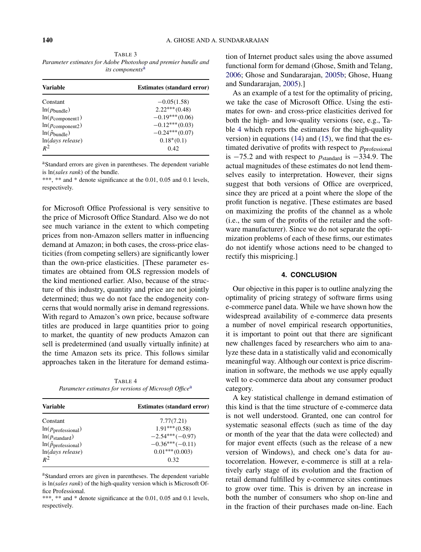<span id="page-9-0"></span>TABLE 3 *Parameter estimates for Adobe Photoshop and premier bundle and its components*<sup>a</sup>

| Variable                      | <b>Estimates (standard error)</b> |  |
|-------------------------------|-----------------------------------|--|
| Constant                      | $-0.05(1.58)$                     |  |
| $ln(p_{\text{bundle}})$       | $2.22***(0.48)$                   |  |
| $ln(p_{\text{component}})$    | $-0.19***(0.06)$                  |  |
| $ln(p_{\text{component2}})$   | $-0.12***(0.03)$                  |  |
| $ln(\hat{p}_{\text{bundle}})$ | $-0.24***(0.07)$                  |  |
| $ln(days$ release)            | $0.18*(0.1)$                      |  |
| $R^2$                         | 0.42.                             |  |

aStandard errors are given in parentheses. The dependent variable is ln*(sales rank)* of the bundle.

\*\*\*, \*\* and \* denote significance at the 0.01, 0.05 and 0.1 levels, respectively.

for Microsoft Office Professional is very sensitive to the price of Microsoft Office Standard. Also we do not see much variance in the extent to which competing prices from non-Amazon sellers matter in influencing demand at Amazon; in both cases, the cross-price elasticities (from competing sellers) are significantly lower than the own-price elasticities. [These parameter estimates are obtained from OLS regression models of the kind mentioned earlier. Also, because of the structure of this industry, quantity and price are not jointly determined; thus we do not face the endogeneity concerns that would normally arise in demand regressions. With regard to Amazon's own price, because software titles are produced in large quantities prior to going to market, the quantity of new products Amazon can sell is predetermined (and usually virtually infinite) at the time Amazon sets its price. This follows similar approaches taken in the literature for demand estima-

TABLE 4 *Parameter estimates for versions of Microsoft Office*<sup>a</sup>

| <b>Estimates (standard error)</b> |  |
|-----------------------------------|--|
| 7.77(7.21)                        |  |
| $1.91***(0.58)$                   |  |
| $-2.54***(-0.97)$                 |  |
| $-0.36***(-0.11)$                 |  |
| $0.01***(0.003)$                  |  |
| 0.32                              |  |
|                                   |  |

aStandard errors are given in parentheses. The dependent variable is ln*(sales rank)* of the high-quality version which is Microsoft Office Professional.

\*\*\*, \*\* and \* denote significance at the 0.01, 0.05 and 0.1 levels, respectively.

tion of Internet product sales using the above assumed functional form for demand (Ghose, Smith and Telang, [2006;](#page-10-0) Ghose and Sundararajan, [2005b;](#page-11-0) Ghose, Huang and Sundararajan, [2005\)](#page-10-0).]

As an example of a test for the optimality of pricing, we take the case of Microsoft Office. Using the estimates for own- and cross-price elasticities derived for both the high- and low-quality versions (see, e.g., Table 4 which reports the estimates for the high-quality version) in equations [\(14\)](#page-8-0) and [\(15\)](#page-8-0), we find that the estimated derivative of profits with respect to *p*<sub>professional</sub> is −75*.*2 and with respect to *p*standard is −334*.*9. The actual magnitudes of these estimates do not lend themselves easily to interpretation. However, their signs suggest that both versions of Office are overpriced, since they are priced at a point where the slope of the profit function is negative. [These estimates are based on maximizing the profits of the channel as a whole (i.e., the sum of the profits of the retailer and the software manufacturer). Since we do not separate the optimization problems of each of these firms, our estimates do not identify whose actions need to be changed to rectify this mispricing.]

# **4. CONCLUSION**

Our objective in this paper is to outline analyzing the optimality of pricing strategy of software firms using e-commerce panel data. While we have shown how the widespread availability of e-commerce data presents a number of novel empirical research opportunities, it is important to point out that there are significant new challenges faced by researchers who aim to analyze these data in a statistically valid and economically meaningful way. Although our context is price discrimination in software, the methods we use apply equally well to e-commerce data about any consumer product category.

A key statistical challenge in demand estimation of this kind is that the time structure of e-commerce data is not well understood. Granted, one can control for systematic seasonal effects (such as time of the day or month of the year that the data were collected) and for major event effects (such as the release of a new version of Windows), and check one's data for autocorrelation. However, e-commerce is still at a relatively early stage of its evolution and the fraction of retail demand fulfilled by e-commerce sites continues to grow over time. This is driven by an increase in both the number of consumers who shop on-line and in the fraction of their purchases made on-line. Each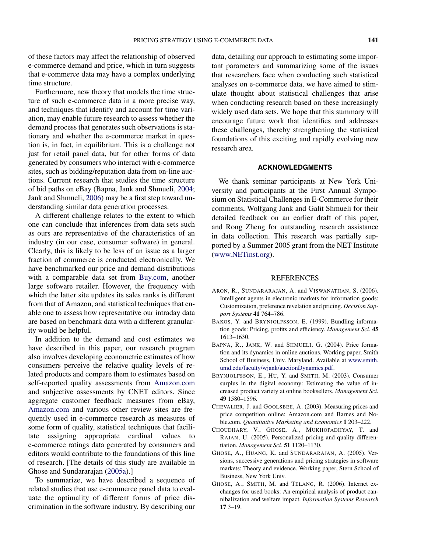<span id="page-10-0"></span>of these factors may affect the relationship of observed e-commerce demand and price, which in turn suggests that e-commerce data may have a complex underlying time structure.

Furthermore, new theory that models the time structure of such e-commerce data in a more precise way, and techniques that identify and account for time variation, may enable future research to assess whether the demand process that generates such observations is stationary and whether the e-commerce market in question is, in fact, in equilibrium. This is a challenge not just for retail panel data, but for other forms of data generated by consumers who interact with e-commerce sites, such as bidding/reputation data from on-line auctions. Current research that studies the time structure of bid paths on eBay (Bapna, Jank and Shmueli, 2004; Jank and Shmueli, [2006\)](#page-11-0) may be a first step toward understanding similar data generation processes.

A different challenge relates to the extent to which one can conclude that inferences from data sets such as ours are representative of the characteristics of an industry (in our case, consumer software) in general. Clearly, this is likely to be less of an issue as a larger fraction of commerce is conducted electronically. We have benchmarked our price and demand distributions with a comparable data set from [Buy.com,](www.Buy.com) another large software retailer. However, the frequency with which the latter site updates its sales ranks is different from that of Amazon, and statistical techniques that enable one to assess how representative our intraday data are based on benchmark data with a different granularity would be helpful.

In addition to the demand and cost estimates we have described in this paper, our research program also involves developing econometric estimates of how consumers perceive the relative quality levels of related products and compare them to estimates based on self-reported quality assessments from [Amazon.com](www.Amazon.com) and subjective assessments by CNET editors. Since aggregate customer feedback measures from eBay, [Amazon.com](www.Amazon.com) and various other review sites are frequently used in e-commerce research as measures of some form of quality, statistical techniques that facilitate assigning appropriate cardinal values to e-commerce ratings data generated by consumers and editors would contribute to the foundations of this line of research. [The details of this study are available in Ghose and Sundararajan [\(2005a\)](#page-11-0).]

To summarize, we have described a sequence of related studies that use e-commerce panel data to evaluate the optimality of different forms of price discrimination in the software industry. By describing our data, detailing our approach to estimating some important parameters and summarizing some of the issues that researchers face when conducting such statistical analyses on e-commerce data, we have aimed to stimulate thought about statistical challenges that arise when conducting research based on these increasingly widely used data sets. We hope that this summary will encourage future work that identifies and addresses these challenges, thereby strengthening the statistical foundations of this exciting and rapidly evolving new research area.

#### **ACKNOWLEDGMENTS**

We thank seminar participants at New York University and participants at the First Annual Symposium on Statistical Challenges in E-Commerce for their comments, Wolfgang Jank and Galit Shmueli for their detailed feedback on an earlier draft of this paper, and Rong Zheng for outstanding research assistance in data collection. This research was partially supported by a Summer 2005 grant from the NET Institute [\(www.NETinst.org\)](www.NETinst.org).

#### **REFERENCES**

- ARON, R., SUNDARARAJAN, A. and VISWANATHAN, S. (2006). Intelligent agents in electronic markets for information goods: Customization, preference revelation and pricing. *Decision Support Systems* **41** 764–786.
- BAKOS, Y. and BRYNJOLFSSON, E. (1999). Bundling information goods: Pricing, profits and efficiency. *Management Sci.* **45** 1613–1630.
- BAPNA, R., JANK, W. and SHMUELI, G. (2004). Price formation and its dynamics in online auctions. Working paper, Smith School of Business, Univ. Maryland. Available at [www.smith.](www.smith.umd.edu/faculty/wjank/auctionDynamics.pdf) [umd.edu/faculty/wjank/auctionDynamics.pdf.](www.smith.umd.edu/faculty/wjank/auctionDynamics.pdf)
- BRYNJOLFSSON, E., HU, Y. and SMITH, M. (2003). Consumer surplus in the digital economy: Estimating the value of increased product variety at online booksellers. *Management Sci.* **49** 1580–1596.
- CHEVALIER, J. and GOOLSBEE, A. (2003). Measuring prices and price competition online: Amazon.com and Barnes and Noble.com. *Quantitative Marketing and Economics* **1** 203–222.
- CHOUDHARY, V., GHOSE, A., MUKHOPADHYAY, T. and RAJAN, U. (2005). Personalized pricing and quality differentiation. *Management Sci.* **51** 1120–1130.
- GHOSE, A., HUANG, K. and SUNDARARAJAN, A. (2005). Versions, successive generations and pricing strategies in software markets: Theory and evidence. Working paper, Stern School of Business, New York Univ.
- GHOSE, A., SMITH, M. and TELANG, R. (2006). Internet exchanges for used books: An empirical analysis of product cannibalization and welfare impact. *Information Systems Research* **17** 3–19.